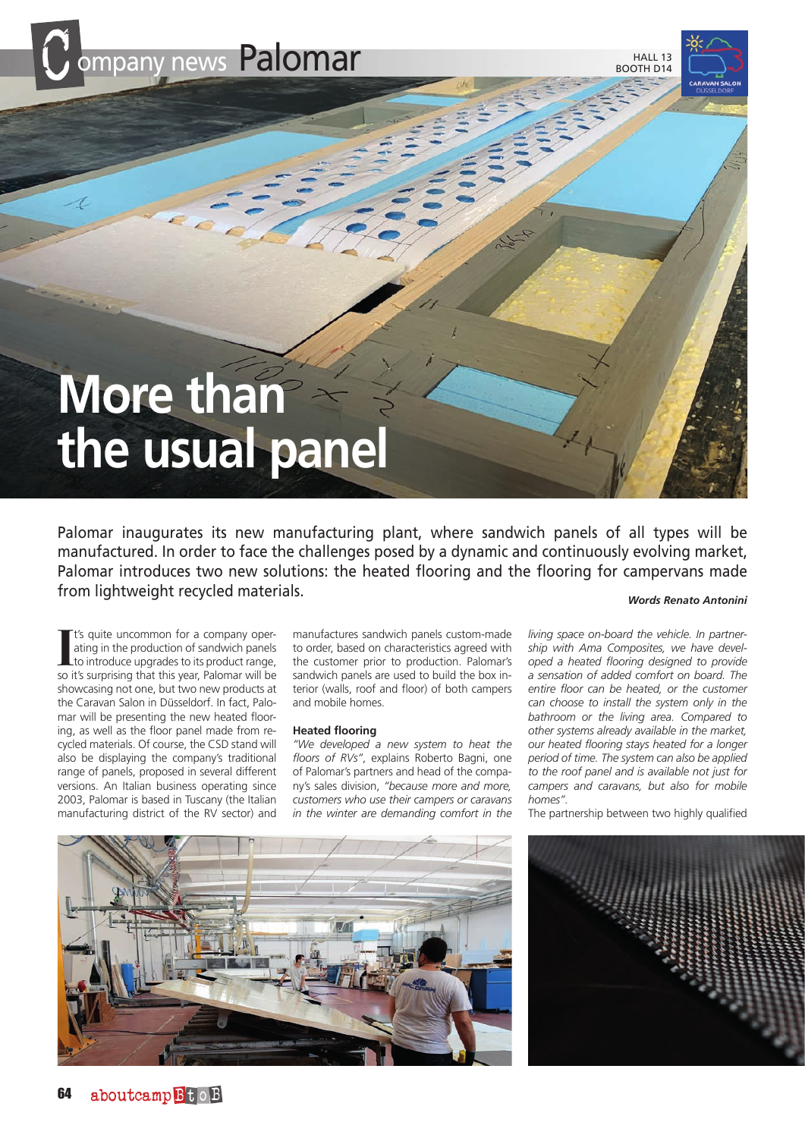

**HALL 13** BOOTH D14

# **More than the usual panel**

Palomar inaugurates its new manufacturing plant, where sandwich panels of all types will be manufactured. In order to face the challenges posed by a dynamic and continuously evolving market, Palomar introduces two new solutions: the heated flooring and the flooring for campervans made from lightweight recycled materials.

*Words Renato Antonini*

It's quite uncommon for a company operating in the production of sandwich panels<br>to introduce upgrades to its product range,<br>so it's surprising that this year, Palomar will be t's quite uncommon for a company operating in the production of sandwich panels to introduce upgrades to its product range, showcasing not one, but two new products at the Caravan Salon in Düsseldorf. In fact, Palomar will be presenting the new heated flooring, as well as the floor panel made from recycled materials. Of course, the CSD stand will also be displaying the company's traditional range of panels, proposed in several different versions. An Italian business operating since 2003, Palomar is based in Tuscany (the Italian manufacturing district of the RV sector) and

manufactures sandwich panels custom-made to order, based on characteristics agreed with the customer prior to production. Palomar's sandwich panels are used to build the box interior (walls, roof and floor) of both campers and mobile homes.

#### **Heated flooring**

*"We developed a new system to heat the floors of RVs"*, explains Roberto Bagni, one of Palomar's partners and head of the company's sales division, *"because more and more, customers who use their campers or caravans in the winter are demanding comfort in the* 

*living space on-board the vehicle. In partnership with Ama Composites, we have developed a heated flooring designed to provide a sensation of added comfort on board. The entire floor can be heated, or the customer can choose to install the system only in the bathroom or the living area. Compared to other systems already available in the market, our heated flooring stays heated for a longer period of time. The system can also be applied to the roof panel and is available not just for campers and caravans, but also for mobile homes".*